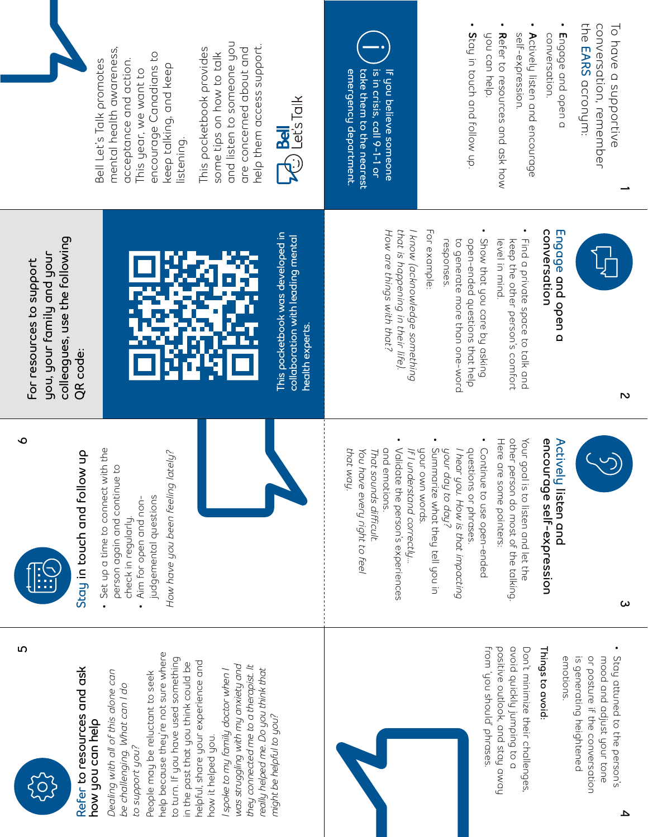